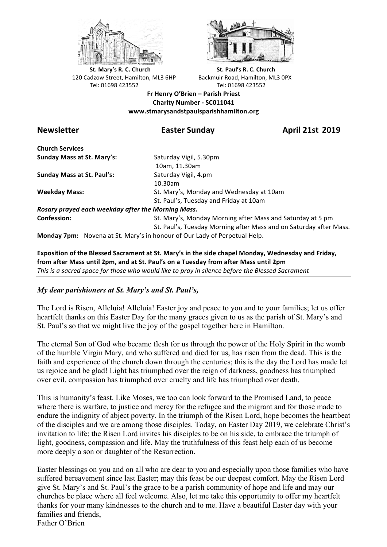



**St.** Mary's R. C. Church St. Paul's R. C. Church 120 Cadzow Street, Hamilton, ML3 6HP Backmuir Road, Hamilton, ML3 0PX Tel: 01698 423552 Tel: 01698 423552

**Fr Henry O'Brien – Parish Priest Charity Number - SC011041 www.stmarysandstpaulsparishhamilton.org**

**Newsletter Easter Sunday April 21st 2019**

**Church Services Sunday Mass at St. Mary's:** Saturday Vigil, 5.30pm

**Sunday Mass at St. Paul's:** Saturday Vigil, 4.pm

 10am, 11.30am 10.30am **Weekday Mass:** St. Mary's, Monday and Wednesday at 10am St. Paul's, Tuesday and Friday at 10am

*Rosary prayed each weekday after the Morning Mass.* **Confession:** St. Mary's, Monday Morning after Mass and Saturday at 5 pm

St. Paul's, Tuesday Morning after Mass and on Saturday after Mass.

**Monday 7pm:** Novena at St. Mary's in honour of Our Lady of Perpetual Help.

Exposition of the Blessed Sacrament at St. Mary's in the side chapel Monday, Wednesday and Friday, from after Mass until 2pm, and at St. Paul's on a Tuesday from after Mass until 2pm This is a sacred space for those who would like to pray in silence before the Blessed Sacrament

## *My dear parishioners at St. Mary's and St. Paul's,*

The Lord is Risen, Alleluia! Alleluia! Easter joy and peace to you and to your families; let us offer heartfelt thanks on this Easter Day for the many graces given to us as the parish of St. Mary's and St. Paul's so that we might live the joy of the gospel together here in Hamilton.

The eternal Son of God who became flesh for us through the power of the Holy Spirit in the womb of the humble Virgin Mary, and who suffered and died for us, has risen from the dead. This is the faith and experience of the church down through the centuries; this is the day the Lord has made let us rejoice and be glad! Light has triumphed over the reign of darkness, goodness has triumphed over evil, compassion has triumphed over cruelty and life has triumphed over death.

This is humanity's feast. Like Moses, we too can look forward to the Promised Land, to peace where there is warfare, to justice and mercy for the refugee and the migrant and for those made to endure the indignity of abject poverty. In the triumph of the Risen Lord, hope becomes the heartbeat of the disciples and we are among those disciples. Today, on Easter Day 2019, we celebrate Christ's invitation to life; the Risen Lord invites his disciples to be on his side, to embrace the triumph of light, goodness, compassion and life. May the truthfulness of this feast help each of us become more deeply a son or daughter of the Resurrection.

Easter blessings on you and on all who are dear to you and especially upon those families who have suffered bereavement since last Easter; may this feast be our deepest comfort. May the Risen Lord give St. Mary's and St. Paul's the grace to be a parish community of hope and life and may our churches be place where all feel welcome. Also, let me take this opportunity to offer my heartfelt thanks for your many kindnesses to the church and to me. Have a beautiful Easter day with your families and friends, Father O'Brien